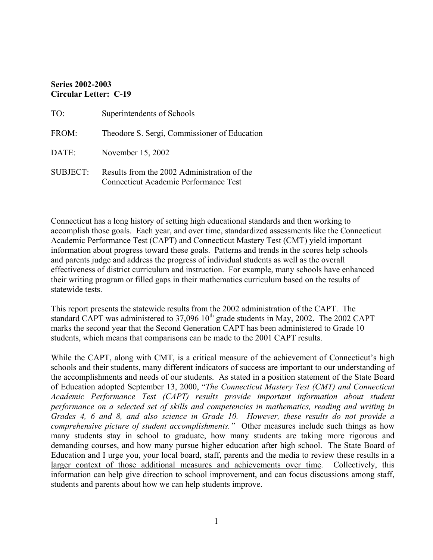#### **Series 2002-2003 Circular Letter: C-19**

| TO:             | Superintendents of Schools                                                           |
|-----------------|--------------------------------------------------------------------------------------|
| FROM:           | Theodore S. Sergi, Commissioner of Education                                         |
| DATE:           | November 15, 2002                                                                    |
| <b>SUBJECT:</b> | Results from the 2002 Administration of the<br>Connecticut Academic Performance Test |

Connecticut has a long history of setting high educational standards and then working to accomplish those goals. Each year, and over time, standardized assessments like the Connecticut Academic Performance Test (CAPT) and Connecticut Mastery Test (CMT) yield important information about progress toward these goals. Patterns and trends in the scores help schools and parents judge and address the progress of individual students as well as the overall effectiveness of district curriculum and instruction. For example, many schools have enhanced their writing program or filled gaps in their mathematics curriculum based on the results of statewide tests.

This report presents the statewide results from the 2002 administration of the CAPT. The standard CAPT was administered to  $37,096$   $10^{th}$  grade students in May, 2002. The 2002 CAPT marks the second year that the Second Generation CAPT has been administered to Grade 10 students, which means that comparisons can be made to the 2001 CAPT results.

While the CAPT, along with CMT, is a critical measure of the achievement of Connecticut's high schools and their students, many different indicators of success are important to our understanding of the accomplishments and needs of our students. As stated in a position statement of the State Board of Education adopted September 13, 2000, "*The Connecticut Mastery Test (CMT) and Connecticut Academic Performance Test (CAPT) results provide important information about student performance on a selected set of skills and competencies in mathematics, reading and writing in Grades 4, 6 and 8, and also science in Grade 10. However, these results do not provide a comprehensive picture of student accomplishments."* Other measures include such things as how many students stay in school to graduate, how many students are taking more rigorous and demanding courses, and how many pursue higher education after high school. The State Board of Education and I urge you, your local board, staff, parents and the media to review these results in a larger context of those additional measures and achievements over time. Collectively, this information can help give direction to school improvement, and can focus discussions among staff, students and parents about how we can help students improve.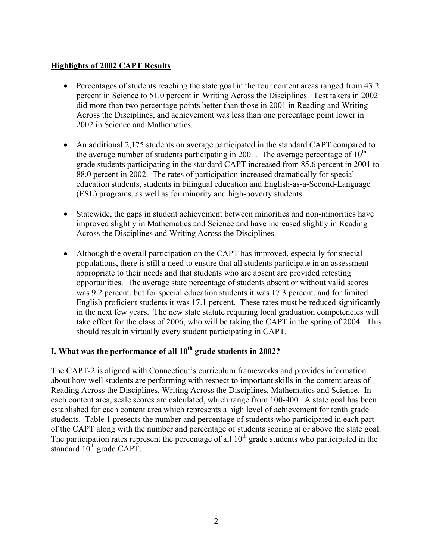## **Highlights of 2002 CAPT Results**

- Percentages of students reaching the state goal in the four content areas ranged from 43.2 percent in Science to 51.0 percent in Writing Across the Disciplines. Test takers in 2002 did more than two percentage points better than those in 2001 in Reading and Writing Across the Disciplines, and achievement was less than one percentage point lower in 2002 in Science and Mathematics.
- An additional 2,175 students on average participated in the standard CAPT compared to the average number of students participating in 2001. The average percentage of  $10^{th}$ grade students participating in the standard CAPT increased from 85.6 percent in 2001 to 88.0 percent in 2002. The rates of participation increased dramatically for special education students, students in bilingual education and English-as-a-Second-Language (ESL) programs, as well as for minority and high-poverty students.
- Statewide, the gaps in student achievement between minorities and non-minorities have improved slightly in Mathematics and Science and have increased slightly in Reading Across the Disciplines and Writing Across the Disciplines.
- Although the overall participation on the CAPT has improved, especially for special populations, there is still a need to ensure that all students participate in an assessment appropriate to their needs and that students who are absent are provided retesting opportunities. The average state percentage of students absent or without valid scores was 9.2 percent, but for special education students it was 17.3 percent, and for limited English proficient students it was 17.1 percent. These rates must be reduced significantly in the next few years. The new state statute requiring local graduation competencies will take effect for the class of 2006, who will be taking the CAPT in the spring of 2004. This should result in virtually every student participating in CAPT.

# **I. What was the performance of all 10<sup>th</sup> grade students in 2002?**

The CAPT-2 is aligned with Connecticut's curriculum frameworks and provides information about how well students are performing with respect to important skills in the content areas of Reading Across the Disciplines, Writing Across the Disciplines, Mathematics and Science. In each content area, scale scores are calculated, which range from 100-400. A state goal has been established for each content area which represents a high level of achievement for tenth grade students. Table 1 presents the number and percentage of students who participated in each part of the CAPT along with the number and percentage of students scoring at or above the state goal. The participation rates represent the percentage of all  $10<sup>th</sup>$  grade students who participated in the standard  $10^{th}$  grade CAPT.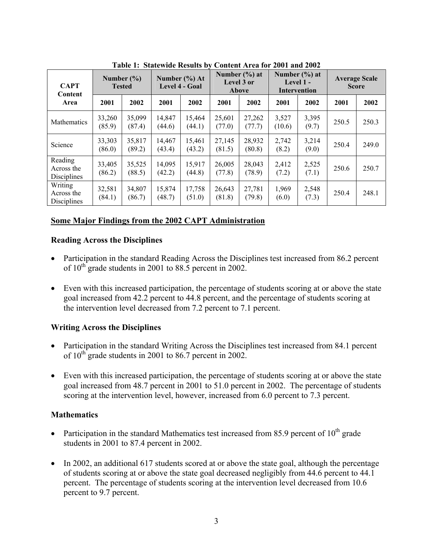|                                      | Tabic 1. Statewide Results by Collectic Area for 2001 and 2002 |                                 |                  |                                            |                  |                                          |                                                  |                |                                      |       |
|--------------------------------------|----------------------------------------------------------------|---------------------------------|------------------|--------------------------------------------|------------------|------------------------------------------|--------------------------------------------------|----------------|--------------------------------------|-------|
| <b>CAPT</b><br>Content               |                                                                | Number $(\% )$<br><b>Tested</b> |                  | Number $(\% )$ At<br><b>Level 4 - Goal</b> |                  | Number $(\% )$ at<br>Level 3 or<br>Above | Number $(\% )$ at<br>Level $1 -$<br>Intervention |                | <b>Average Scale</b><br><b>Score</b> |       |
| Area                                 | 2001                                                           | 2002                            | 2001             | 2002                                       | 2001             | 2002                                     | 2001                                             | 2002           | 2001                                 | 2002  |
| Mathematics                          | 33,260<br>(85.9)                                               | 35,099<br>(87.4)                | 14,847<br>(44.6) | 15,464<br>(44.1)                           | 25,601<br>(77.0) | 27,262<br>(77.7)                         | 3,527<br>(10.6)                                  | 3,395<br>(9.7) | 250.5                                | 250.3 |
| Science                              | 33,303<br>(86.0)                                               | 35,817<br>(89.2)                | 14,467<br>(43.4) | 15,461<br>(43.2)                           | 27,145<br>(81.5) | 28,932<br>(80.8)                         | 2,742<br>(8.2)                                   | 3,214<br>(9.0) | 250.4                                | 249.0 |
| Reading<br>Across the<br>Disciplines | 33,405<br>(86.2)                                               | 35,525<br>(88.5)                | 14,095<br>(42.2) | 15,917<br>(44.8)                           | 26,005<br>(77.8) | 28,043<br>(78.9)                         | 2,412<br>(7.2)                                   | 2,525<br>(7.1) | 250.6                                | 250.7 |
| Writing<br>Across the<br>Disciplines | 32,581<br>(84.1)                                               | 34,807<br>(86.7)                | 15,874<br>(48.7) | 17,758<br>(51.0)                           | 26,643<br>(81.8) | 27,781<br>(79.8)                         | 1,969<br>(6.0)                                   | 2,548<br>(7.3) | 250.4                                | 248.1 |

Table 1: Statewide Results by Content Area for 2001 and 2002

# **Some Major Findings from the 2002 CAPT Administration**

#### **Reading Across the Disciplines**

- Participation in the standard Reading Across the Disciplines test increased from 86.2 percent of  $10^{th}$  grade students in 2001 to 88.5 percent in 2002.
- Even with this increased participation, the percentage of students scoring at or above the state goal increased from 42.2 percent to 44.8 percent, and the percentage of students scoring at the intervention level decreased from 7.2 percent to 7.1 percent.

### **Writing Across the Disciplines**

- Participation in the standard Writing Across the Disciplines test increased from 84.1 percent of  $10^{th}$  grade students in 2001 to 86.7 percent in 2002.
- Even with this increased participation, the percentage of students scoring at or above the state goal increased from 48.7 percent in 2001 to 51.0 percent in 2002. The percentage of students scoring at the intervention level, however, increased from 6.0 percent to 7.3 percent.

### **Mathematics**

- Participation in the standard Mathematics test increased from 85.9 percent of  $10^{th}$  grade students in 2001 to 87.4 percent in 2002.
- In 2002, an additional 617 students scored at or above the state goal, although the percentage of students scoring at or above the state goal decreased negligibly from 44.6 percent to 44.1 percent. The percentage of students scoring at the intervention level decreased from 10.6 percent to 9.7 percent.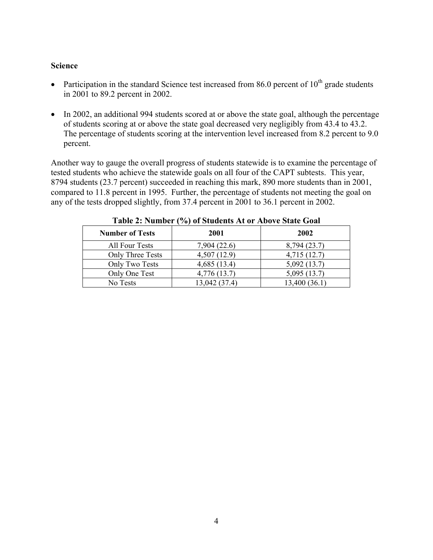#### **Science**

- Participation in the standard Science test increased from 86.0 percent of  $10^{th}$  grade students in 2001 to 89.2 percent in 2002.
- In 2002, an additional 994 students scored at or above the state goal, although the percentage of students scoring at or above the state goal decreased very negligibly from 43.4 to 43.2. The percentage of students scoring at the intervention level increased from 8.2 percent to 9.0 percent.

Another way to gauge the overall progress of students statewide is to examine the percentage of tested students who achieve the statewide goals on all four of the CAPT subtests. This year, 8794 students (23.7 percent) succeeded in reaching this mark, 890 more students than in 2001, compared to 11.8 percent in 1995. Further, the percentage of students not meeting the goal on any of the tests dropped slightly, from 37.4 percent in 2001 to 36.1 percent in 2002.

| <b>Number of Tests</b> | 2001          | 2002          |
|------------------------|---------------|---------------|
| All Four Tests         | 7,904 (22.6)  | 8,794 (23.7)  |
| Only Three Tests       | 4,507(12.9)   | 4,715(12.7)   |
| Only Two Tests         | 4,685(13.4)   | 5,092(13.7)   |
| Only One Test          | 4,776 (13.7)  | 5,095(13.7)   |
| No Tests               | 13,042 (37.4) | 13,400 (36.1) |

**Table 2: Number (%) of Students At or Above State Goal**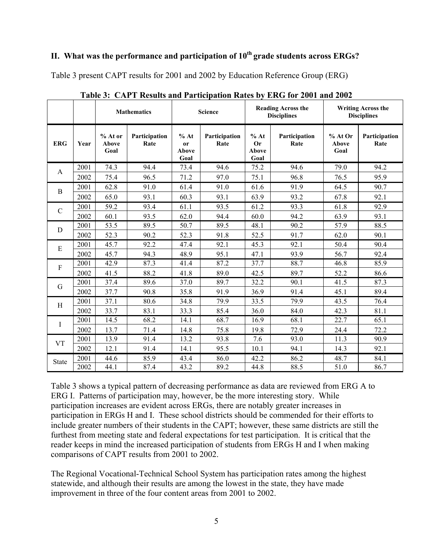# **II. What was the performance and participation of 10th grade students across ERGs?**

Table 3 present CAPT results for 2001 and 2002 by Education Reference Group (ERG)

|               |      |                                 | <b>Mathematics</b>    |                                               | <b>Science</b>        |                                    | <b>Reading Across the</b><br><b>Disciplines</b> | <b>Writing Across the</b><br><b>Disciplines</b> |                       |  |
|---------------|------|---------------------------------|-----------------------|-----------------------------------------------|-----------------------|------------------------------------|-------------------------------------------------|-------------------------------------------------|-----------------------|--|
| <b>ERG</b>    | Year | % At or<br><b>Above</b><br>Goal | Participation<br>Rate | % At<br><sub>or</sub><br><b>Above</b><br>Goal | Participation<br>Rate | % At<br>Or<br><b>Above</b><br>Goal | Participation<br>Rate                           | % At Or<br>Above<br>Goal                        | Participation<br>Rate |  |
| A             | 2001 | 74.3                            | 94.4                  | 73.4                                          | 94.6                  | 75.2                               | 94.6                                            | 79.0                                            | 94.2                  |  |
|               | 2002 | 75.4                            | 96.5                  | 71.2                                          | 97.0                  | 75.1                               | 96.8                                            | 76.5                                            | 95.9                  |  |
| B             | 2001 | 62.8                            | 91.0                  | 61.4                                          | 91.0                  | 61.6                               | 91.9                                            | 64.5                                            | 90.7                  |  |
|               | 2002 | 65.0                            | 93.1                  | 60.3                                          | 93.1                  | 63.9                               | 93.2                                            | 67.8                                            | 92.1                  |  |
| $\mathcal{C}$ | 2001 | 59.2                            | 93.4                  | 61.1                                          | 93.5                  | 61.2                               | 93.3                                            | 61.8                                            | 92.9                  |  |
|               | 2002 | 60.1                            | 93.5                  | 62.0                                          | 94.4                  | 60.0                               | 94.2                                            | 63.9                                            | 93.1                  |  |
| D             | 2001 | 53.5                            | 89.5                  | 50.7                                          | 89.5                  | 48.1                               | 90.2                                            | 57.9                                            | 88.5                  |  |
|               | 2002 | 52.3                            | 90.2                  | 52.3                                          | 91.8                  | 52.5                               | 91.7                                            | 62.0                                            | 90.1                  |  |
| E             | 2001 | 45.7                            | 92.2                  | 47.4                                          | 92.1                  | 45.3                               | 92.1                                            | 50.4                                            | 90.4                  |  |
|               | 2002 | 45.7                            | 94.3                  | 48.9                                          | 95.1                  | 47.1                               | 93.9                                            | 56.7                                            | 92.4                  |  |
| $\mathbf{F}$  | 2001 | 42.9                            | 87.3                  | 41.4                                          | 87.2                  | 37.7                               | 88.7                                            | 46.8                                            | 85.9                  |  |
|               | 2002 | 41.5                            | 88.2                  | 41.8                                          | 89.0                  | 42.5                               | 89.7                                            | 52.2                                            | 86.6                  |  |
| G             | 2001 | 37.4                            | 89.6                  | 37.0                                          | 89.7                  | 32.2                               | 90.1                                            | 41.5                                            | 87.3                  |  |
|               | 2002 | 37.7                            | 90.8                  | 35.8                                          | 91.9                  | 36.9                               | 91.4                                            | 45.1                                            | 89.4                  |  |
| H             | 2001 | 37.1                            | 80.6                  | 34.8                                          | 79.9                  | 33.5                               | 79.9                                            | 43.5                                            | 76.4                  |  |
|               | 2002 | 33.7                            | 83.1                  | 33.3                                          | 85.4                  | 36.0                               | 84.0                                            | 42.3                                            | 81.1                  |  |
| I             | 2001 | 14.5                            | 68.2                  | 14.1                                          | 68.7                  | 16.9                               | 68.1                                            | 22.7                                            | 65.1                  |  |
|               | 2002 | 13.7                            | 71.4                  | 14.8                                          | 75.8                  | 19.8                               | 72.9                                            | 24.4                                            | 72.2                  |  |
| <b>VT</b>     | 2001 | 13.9                            | 91.4                  | 13.2                                          | 93.8                  | 7.6                                | 93.0                                            | 11.3                                            | 90.9                  |  |
|               | 2002 | 12.1                            | 91.4                  | 14.1                                          | 95.5                  | 10.1                               | 94.1                                            | 14.3                                            | 92.1                  |  |
| <b>State</b>  | 2001 | 44.6                            | 85.9                  | 43.4                                          | 86.0                  | 42.2                               | 86.2                                            | 48.7                                            | 84.1                  |  |
|               | 2002 | 44.1                            | 87.4                  | 43.2                                          | 89.2                  | 44.8                               | 88.5                                            | 51.0                                            | 86.7                  |  |

**Table 3: CAPT Results and Participation Rates by ERG for 2001 and 2002** 

Table 3 shows a typical pattern of decreasing performance as data are reviewed from ERG A to ERG I. Patterns of participation may, however, be the more interesting story. While participation increases are evident across ERGs, there are notably greater increases in participation in ERGs H and I. These school districts should be commended for their efforts to include greater numbers of their students in the CAPT; however, these same districts are still the furthest from meeting state and federal expectations for test participation. It is critical that the reader keeps in mind the increased participation of students from ERGs H and I when making comparisons of CAPT results from 2001 to 2002.

The Regional Vocational-Technical School System has participation rates among the highest statewide, and although their results are among the lowest in the state, they have made improvement in three of the four content areas from 2001 to 2002.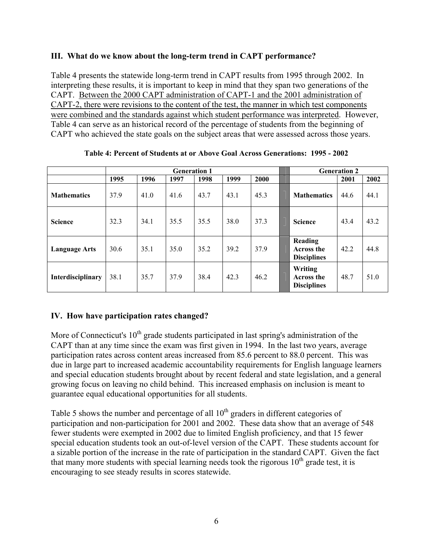#### **III. What do we know about the long-term trend in CAPT performance?**

Table 4 presents the statewide long-term trend in CAPT results from 1995 through 2002. In interpreting these results, it is important to keep in mind that they span two generations of the CAPT. Between the 2000 CAPT administration of CAPT-1 and the 2001 administration of CAPT-2, there were revisions to the content of the test, the manner in which test components were combined and the standards against which student performance was interpreted. However, Table 4 can serve as an historical record of the percentage of students from the beginning of CAPT who achieved the state goals on the subject areas that were assessed across those years.

|                      |      | <b>Generation 1</b> |      |      |      |      |                                                    | <b>Generation 2</b> |      |
|----------------------|------|---------------------|------|------|------|------|----------------------------------------------------|---------------------|------|
|                      | 1995 | 1996                | 1997 | 1998 | 1999 | 2000 |                                                    | 2001                | 2002 |
| <b>Mathematics</b>   | 37.9 | 41.0                | 41.6 | 43.7 | 43.1 | 45.3 | <b>Mathematics</b>                                 | 44.6                | 44.1 |
| <b>Science</b>       | 32.3 | 34.1                | 35.5 | 35.5 | 38.0 | 37.3 | <b>Science</b>                                     | 43.4                | 43.2 |
| <b>Language Arts</b> | 30.6 | 35.1                | 35.0 | 35.2 | 39.2 | 37.9 | Reading<br><b>Across the</b><br><b>Disciplines</b> | 42.2                | 44.8 |
| Interdisciplinary    | 38.1 | 35.7                | 37.9 | 38.4 | 42.3 | 46.2 | Writing<br>Across the<br><b>Disciplines</b>        | 48.7                | 51.0 |

**Table 4: Percent of Students at or Above Goal Across Generations: 1995 - 2002** 

### **IV. How have participation rates changed?**

More of Connecticut's  $10<sup>th</sup>$  grade students participated in last spring's administration of the CAPT than at any time since the exam was first given in 1994. In the last two years, average participation rates across content areas increased from 85.6 percent to 88.0 percent. This was due in large part to increased academic accountability requirements for English language learners and special education students brought about by recent federal and state legislation, and a general growing focus on leaving no child behind. This increased emphasis on inclusion is meant to guarantee equal educational opportunities for all students.

Table 5 shows the number and percentage of all  $10<sup>th</sup>$  graders in different categories of participation and non-participation for 2001 and 2002. These data show that an average of 548 fewer students were exempted in 2002 due to limited English proficiency, and that 15 fewer special education students took an out-of-level version of the CAPT. These students account for a sizable portion of the increase in the rate of participation in the standard CAPT. Given the fact that many more students with special learning needs took the rigorous  $10<sup>th</sup>$  grade test, it is encouraging to see steady results in scores statewide.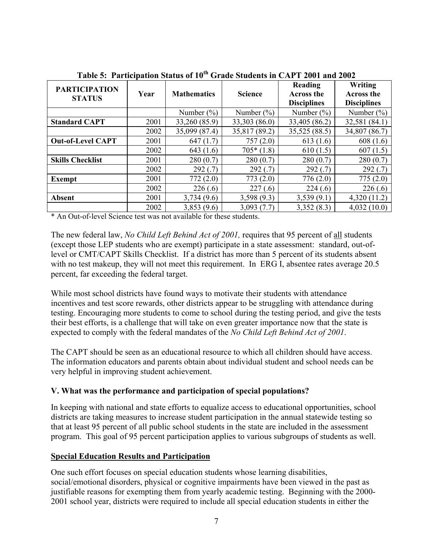| <b>PARTICIPATION</b><br><b>STATUS</b> | Year | <b>Mathematics</b> | <b>Science</b> | Reading<br><b>Across the</b><br><b>Disciplines</b> | Writing<br><b>Across the</b><br><b>Disciplines</b> |
|---------------------------------------|------|--------------------|----------------|----------------------------------------------------|----------------------------------------------------|
|                                       |      | Number $(\%)$      | Number $(\% )$ | Number $(\%)$                                      | Number $(\% )$                                     |
| <b>Standard CAPT</b>                  | 2001 | 33,260 (85.9)      | 33,303 (86.0)  | 33,405 (86.2)                                      | 32,581 (84.1)                                      |
|                                       | 2002 | 35,099 (87.4)      | 35,817 (89.2)  | 35,525 (88.5)                                      | 34,807 (86.7)                                      |
| <b>Out-of-Level CAPT</b>              | 2001 | 647(1.7)           | 757(2.0)       | 613(1.6)                                           | 608(1.6)                                           |
|                                       | 2002 | 643(1.6)           | $705*(1.8)$    | 610(1.5)                                           | 607(1.5)                                           |
| <b>Skills Checklist</b>               | 2001 | 280(0.7)           | 280(0.7)       | 280(0.7)                                           | 280(0.7)                                           |
|                                       | 2002 | 292(.7)            | 292(.7)        | 292(.7)                                            | 292(.7)                                            |
| Exempt                                | 2001 | 772(2.0)           | 773(2.0)       | 776(2.0)                                           | 775(2.0)                                           |
|                                       | 2002 | 226(.6)            | 227(.6)        | 224(.6)                                            | 226(.6)                                            |
| <b>Absent</b>                         | 2001 | 3,734(9.6)         | 3,598(9.3)     | 3,539(9.1)                                         | 4,320(11.2)                                        |
|                                       | 2002 | 3,853(9.6)         | 3,093(7.7)     | 3,352(8.3)                                         | 4,032(10.0)                                        |

**Table 5: Participation Status of 10th Grade Students in CAPT 2001 and 2002** 

\* An Out-of-level Science test was not available for these students.

The new federal law, *No Child Left Behind Act of 2001,* requires that 95 percent of all students (except those LEP students who are exempt) participate in a state assessment: standard, out-oflevel or CMT/CAPT Skills Checklist. If a district has more than 5 percent of its students absent with no test makeup, they will not meet this requirement. In ERG I, absentee rates average 20.5 percent, far exceeding the federal target.

While most school districts have found ways to motivate their students with attendance incentives and test score rewards, other districts appear to be struggling with attendance during testing. Encouraging more students to come to school during the testing period, and give the tests their best efforts, is a challenge that will take on even greater importance now that the state is expected to comply with the federal mandates of the *No Child Left Behind Act of 2001*.

The CAPT should be seen as an educational resource to which all children should have access. The information educators and parents obtain about individual student and school needs can be very helpful in improving student achievement.

### **V. What was the performance and participation of special populations?**

In keeping with national and state efforts to equalize access to educational opportunities, school districts are taking measures to increase student participation in the annual statewide testing so that at least 95 percent of all public school students in the state are included in the assessment program. This goal of 95 percent participation applies to various subgroups of students as well.

### **Special Education Results and Participation**

One such effort focuses on special education students whose learning disabilities, social/emotional disorders, physical or cognitive impairments have been viewed in the past as justifiable reasons for exempting them from yearly academic testing. Beginning with the 2000- 2001 school year, districts were required to include all special education students in either the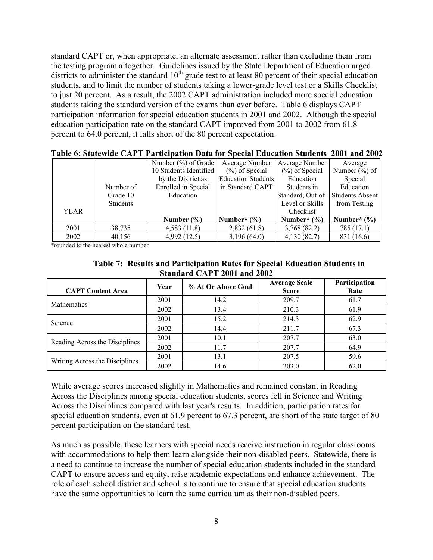standard CAPT or, when appropriate, an alternate assessment rather than excluding them from the testing program altogether. Guidelines issued by the State Department of Education urged districts to administer the standard  $10<sup>th</sup>$  grade test to at least 80 percent of their special education students, and to limit the number of students taking a lower-grade level test or a Skills Checklist to just 20 percent. As a result, the 2002 CAPT administration included more special education students taking the standard version of the exams than ever before. Table 6 displays CAPT participation information for special education students in 2001 and 2002. Although the special education participation rate on the standard CAPT improved from 2001 to 2002 from 61.8 percent to 64.0 percent, it falls short of the 80 percent expectation.

|      |                 | Number $(\%)$ of Grade | Average Number            | Average Number                    | Average          |
|------|-----------------|------------------------|---------------------------|-----------------------------------|------------------|
|      |                 | 10 Students Identified | $(\%)$ of Special         | $(\%)$ of Special                 | Number $(\%)$ of |
|      |                 | by the District as     | <b>Education Students</b> | Education                         | Special          |
|      | Number of       | Enrolled in Special    | in Standard CAPT          | Students in                       | Education        |
|      | Grade 10        | Education              |                           | Standard, Out-of- Students Absent |                  |
|      | <b>Students</b> |                        |                           | Level or Skills                   | from Testing     |
| YEAR |                 |                        |                           | Checklist                         |                  |
|      |                 | Number $(\% )$         | Number* $(\% )$           | Number* $(\% )$                   | Number* $(\% )$  |
| 2001 | 38,735          | 4,583(11.8)            | 2,832(61.8)               | 3,768 (82.2)                      | 785 (17.1)       |
| 2002 | 40,156          | 4,992 (12.5)           | 3,196(64.0)               | 4,130(82.7)                       | 831 (16.6)       |

\*rounded to the nearest whole number

| Standard CAPT 2001 and 2002    |      |                    |                                      |                       |  |  |
|--------------------------------|------|--------------------|--------------------------------------|-----------------------|--|--|
| <b>CAPT Content Area</b>       | Year | % At Or Above Goal | <b>Average Scale</b><br><b>Score</b> | Participation<br>Rate |  |  |
| Mathematics                    | 2001 | 14.2               | 209.7                                | 61.7                  |  |  |
|                                | 2002 | 13.4               | 210.3                                | 61.9                  |  |  |
| Science                        | 2001 | 15.2               | 214.3                                | 62.9                  |  |  |
|                                | 2002 | 14.4               | 211.7                                | 67.3                  |  |  |
| Reading Across the Disciplines | 2001 | 10.1               | 207.7                                | 63.0                  |  |  |
|                                | 2002 | 11.7               | 207.7                                | 64.9                  |  |  |
| Writing Across the Disciplines | 2001 | 13.1               | 207.5                                | 59.6                  |  |  |
|                                | 2002 | 14.6               | 203.0                                | 62.0                  |  |  |

#### **Table 7: Results and Participation Rates for Special Education Students in Standard CAPT 2001 and 2002**

While average scores increased slightly in Mathematics and remained constant in Reading Across the Disciplines among special education students, scores fell in Science and Writing Across the Disciplines compared with last year's results. In addition, participation rates for special education students, even at 61.9 percent to 67.3 percent, are short of the state target of 80 percent participation on the standard test.

As much as possible, these learners with special needs receive instruction in regular classrooms with accommodations to help them learn alongside their non-disabled peers. Statewide, there is a need to continue to increase the number of special education students included in the standard CAPT to ensure access and equity, raise academic expectations and enhance achievement. The role of each school district and school is to continue to ensure that special education students have the same opportunities to learn the same curriculum as their non-disabled peers.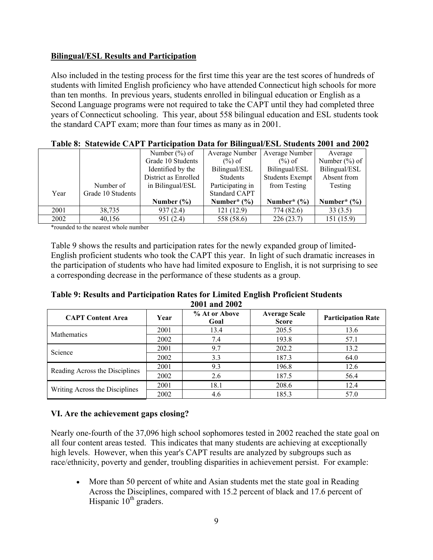## **Bilingual/ESL Results and Participation**

Also included in the testing process for the first time this year are the test scores of hundreds of students with limited English proficiency who have attended Connecticut high schools for more than ten months. In previous years, students enrolled in bilingual education or English as a Second Language programs were not required to take the CAPT until they had completed three years of Connecticut schooling. This year, about 558 bilingual education and ESL students took the standard CAPT exam; more than four times as many as in 2001.

|      |                   | THERE OF STREETING CITY I REGULARIZED ROW TOT DIMINISHING SOMMONES SO T WHY SO . |                      |                        |                   |
|------|-------------------|----------------------------------------------------------------------------------|----------------------|------------------------|-------------------|
|      |                   | Number $(\% )$ of                                                                | Average Number       | Average Number         | Average           |
|      |                   | Grade 10 Students                                                                | $(\%)$ of            | $(\%)$ of              | Number $(\% )$ of |
|      |                   | Identified by the                                                                | Bilingual/ESL        | Bilingual/ESL          | Bilingual/ESL     |
|      |                   | District as Enrolled                                                             | <b>Students</b>      | <b>Students Exempt</b> | Absent from       |
|      | Number of         | in Bilingual/ESL                                                                 | Participating in     | from Testing           | Testing           |
| Year | Grade 10 Students |                                                                                  | <b>Standard CAPT</b> |                        |                   |
|      |                   | Number $(\% )$                                                                   | Number* $(\% )$      | Number* $(\% )$        | Number* $(\% )$   |
| 2001 | 38,735            | 937(2.4)                                                                         | 121(12.9)            | 774 (82.6)             | 33(3.5)           |
| 2002 | 40,156            | 951(2.4)                                                                         | 558 (58.6)           | 226(23.7)              | 151(15.9)         |

| Table 8: Statewide CAPT Participation Data for Bilingual/ESL Students 2001 and 2002 |
|-------------------------------------------------------------------------------------|
|-------------------------------------------------------------------------------------|

\*rounded to the nearest whole number

Table 9 shows the results and participation rates for the newly expanded group of limited-English proficient students who took the CAPT this year. In light of such dramatic increases in the participation of students who have had limited exposure to English, it is not surprising to see a corresponding decrease in the performance of these students as a group.

| Table 9: Results and Participation Rates for Limited English Proficient Students |
|----------------------------------------------------------------------------------|
| 2001 and 2002                                                                    |

| <b>CAPT Content Area</b>       | Year | % At or Above<br>Goal | <b>Average Scale</b><br><b>Score</b> | <b>Participation Rate</b> |  |  |  |
|--------------------------------|------|-----------------------|--------------------------------------|---------------------------|--|--|--|
| Mathematics                    | 2001 | 13.4                  | 205.5                                | 13.6                      |  |  |  |
|                                | 2002 | 7.4                   | 193.8                                | 57.1                      |  |  |  |
| Science                        | 2001 | 9.7                   | 202.2                                | 13.2                      |  |  |  |
|                                | 2002 | 3.3                   | 187.3                                | 64.0                      |  |  |  |
| Reading Across the Disciplines | 2001 | 9.3                   | 196.8                                | 12.6                      |  |  |  |
|                                | 2002 | 2.6                   | 187.5                                | 56.4                      |  |  |  |
| Writing Across the Disciplines | 2001 | 18.1                  | 208.6                                | 12.4                      |  |  |  |
|                                | 2002 | 4.6                   | 185.3                                | 57.0                      |  |  |  |

### **VI. Are the achievement gaps closing?**

Nearly one-fourth of the 37,096 high school sophomores tested in 2002 reached the state goal on all four content areas tested. This indicates that many students are achieving at exceptionally high levels. However, when this year's CAPT results are analyzed by subgroups such as race/ethnicity, poverty and gender, troubling disparities in achievement persist. For example:

• More than 50 percent of white and Asian students met the state goal in Reading Across the Disciplines, compared with 15.2 percent of black and 17.6 percent of Hispanic  $10<sup>th</sup>$  graders.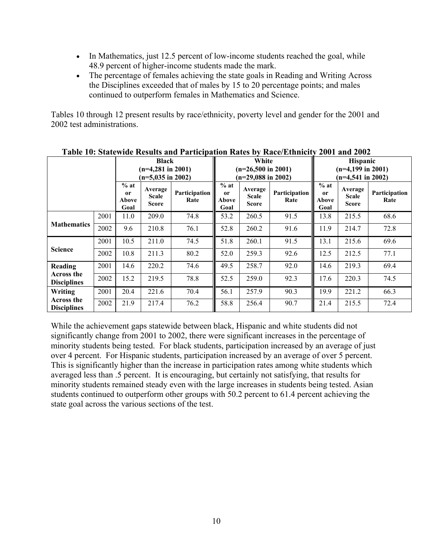- In Mathematics, just 12.5 percent of low-income students reached the goal, while 48.9 percent of higher-income students made the mark.
- The percentage of females achieving the state goals in Reading and Writing Across the Disciplines exceeded that of males by 15 to 20 percentage points; and males continued to outperform females in Mathematics and Science.

Tables 10 through 12 present results by race/ethnicity, poverty level and gender for the 2001 and 2002 test administrations.

|                                  |      | <b>Black</b><br>$(n=4,281$ in 2001)<br>$(n=5,035 \text{ in } 2002)$ |                                  | s and I al despación radios<br>White<br>$(n=26,500 \text{ in } 2001)$<br>$(n=29,088$ in 2002) |                                          | <b>Hispanic</b><br>$(n=4,199$ in 2001)<br>$(n=4,541$ in 2002) |                       |                                          |                                         |                       |
|----------------------------------|------|---------------------------------------------------------------------|----------------------------------|-----------------------------------------------------------------------------------------------|------------------------------------------|---------------------------------------------------------------|-----------------------|------------------------------------------|-----------------------------------------|-----------------------|
|                                  |      | $%$ at<br><sub>or</sub><br>Above<br>Goal                            | Average<br><b>Scale</b><br>Score | Participation<br>Rate                                                                         | $%$ at<br><sub>or</sub><br>Above<br>Goal | Average<br><b>Scale</b><br><b>Score</b>                       | Participation<br>Rate | $%$ at<br><sub>or</sub><br>Above<br>Goal | Average<br><b>Scale</b><br><b>Score</b> | Participation<br>Rate |
|                                  | 2001 | 11.0                                                                | 209.0                            | 74.8                                                                                          | 53.2                                     | 260.5                                                         | 91.5                  | 13.8                                     | 215.5                                   | 68.6                  |
| <b>Mathematics</b>               | 2002 | 9.6                                                                 | 210.8                            | 76.1                                                                                          | 52.8                                     | 260.2                                                         | 91.6                  | 11.9                                     | 214.7                                   | 72.8                  |
|                                  | 2001 | 10.5                                                                | 211.0                            | 74.5                                                                                          | 51.8                                     | 260.1                                                         | 91.5                  | 13.1                                     | 215.6                                   | 69.6                  |
| <b>Science</b>                   | 2002 | 10.8                                                                | 211.3                            | 80.2                                                                                          | 52.0                                     | 259.3                                                         | 92.6                  | 12.5                                     | 212.5                                   | 77.1                  |
| Reading                          | 2001 | 14.6                                                                | 220.2                            | 74.6                                                                                          | 49.5                                     | 258.7                                                         | 92.0                  | 14.6                                     | 219.3                                   | 69.4                  |
| Across the<br><b>Disciplines</b> | 2002 | 15.2                                                                | 219.5                            | 78.8                                                                                          | 52.5                                     | 259.0                                                         | 92.3                  | 17.6                                     | 220.3                                   | 74.5                  |
| Writing                          | 2001 | 20.4                                                                | 221.6                            | 70.4                                                                                          | 56.1                                     | 257.9                                                         | 90.3                  | 19.9                                     | 221.2                                   | 66.3                  |
| Across the<br><b>Disciplines</b> | 2002 | 21.9                                                                | 217.4                            | 76.2                                                                                          | 58.8                                     | 256.4                                                         | 90.7                  | 21.4                                     | 215.5                                   | 72.4                  |

**Table 10: Statewide Results and Participation Rates by Race/Ethnicity 2001 and 2002** 

While the achievement gaps statewide between black, Hispanic and white students did not significantly change from 2001 to 2002, there were significant increases in the percentage of minority students being tested. For black students, participation increased by an average of just over 4 percent. For Hispanic students, participation increased by an average of over 5 percent. This is significantly higher than the increase in participation rates among white students which averaged less than .5 percent. It is encouraging, but certainly not satisfying, that results for minority students remained steady even with the large increases in students being tested. Asian students continued to outperform other groups with 50.2 percent to 61.4 percent achieving the state goal across the various sections of the test.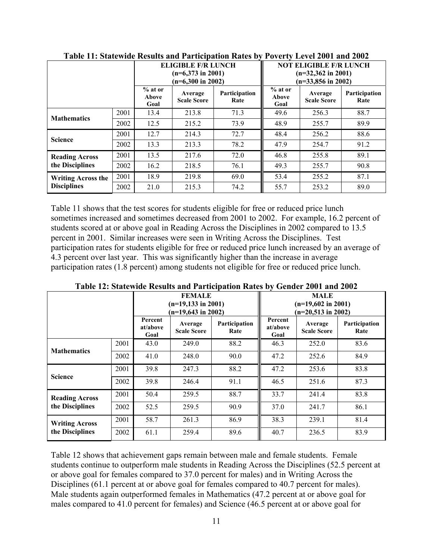|                                                 |      |                            | <b>ELIGIBLE F/R LUNCH</b><br>$(n=6,373$ in 2001)<br>$(n=6,300 \text{ in } 2002)$ |                              | <b>NOT ELIGIBLE F/R LUNCH</b><br>$(n=32,362 \text{ in } 2001)$<br>$(n=33,856$ in 2002) |                               |                       |
|-------------------------------------------------|------|----------------------------|----------------------------------------------------------------------------------|------------------------------|----------------------------------------------------------------------------------------|-------------------------------|-----------------------|
|                                                 |      | $%$ at or<br>Above<br>Goal | Average<br><b>Scale Score</b>                                                    | <b>Participation</b><br>Rate | $%$ at or<br>Above<br>Goal                                                             | Average<br><b>Scale Score</b> | Participation<br>Rate |
| <b>Mathematics</b>                              | 2001 | 13.4                       | 213.8                                                                            | 71.3                         | 49.6                                                                                   | 256.3                         | 88.7                  |
|                                                 | 2002 | 12.5                       | 215.2                                                                            | 73.9                         | 48.9                                                                                   | 255.7                         | 89.9                  |
| <b>Science</b>                                  | 2001 | 12.7                       | 214.3                                                                            | 72.7                         | 48.4                                                                                   | 256.2                         | 88.6                  |
|                                                 | 2002 | 13.3                       | 213.3                                                                            | 78.2                         | 47.9                                                                                   | 254.7                         | 91.2                  |
| <b>Reading Across</b><br>the Disciplines        | 2001 | 13.5                       | 217.6                                                                            | 72.0                         | 46.8                                                                                   | 255.8                         | 89.1                  |
|                                                 | 2002 | 16.2                       | 218.5                                                                            | 76.1                         | 49.3                                                                                   | 255.7                         | 90.8                  |
| <b>Writing Across the</b><br><b>Disciplines</b> | 2001 | 18.9                       | 219.8                                                                            | 69.0                         | 53.4                                                                                   | 255.2                         | 87.1                  |
|                                                 | 2002 | 21.0                       | 215.3                                                                            | 74.2                         | 55.7                                                                                   | 253.2                         | 89.0                  |

| Table 11: Statewide Results and Participation Rates by Poverty Level 2001 and 2002 |  |  |
|------------------------------------------------------------------------------------|--|--|
|                                                                                    |  |  |

Table 11 shows that the test scores for students eligible for free or reduced price lunch sometimes increased and sometimes decreased from 2001 to 2002. For example, 16.2 percent of students scored at or above goal in Reading Across the Disciplines in 2002 compared to 13.5 percent in 2001. Similar increases were seen in Writing Across the Disciplines. Test participation rates for students eligible for free or reduced price lunch increased by an average of 4.3 percent over last year. This was significantly higher than the increase in average participation rates (1.8 percent) among students not eligible for free or reduced price lunch.

|                                          |      | <b>FEMALE</b><br>$(n=19,133$ in 2001)<br>$(n=19,643$ in 2002) |                               |                       | <b>MALE</b><br>$(n=19,602 \text{ in } 2001)$<br>$(n=20,513$ in 2002) |                               |                       |
|------------------------------------------|------|---------------------------------------------------------------|-------------------------------|-----------------------|----------------------------------------------------------------------|-------------------------------|-----------------------|
|                                          |      | Percent<br>at/above<br>Goal                                   | Average<br><b>Scale Score</b> | Participation<br>Rate | Percent<br>at/above<br>Goal                                          | Average<br><b>Scale Score</b> | Participation<br>Rate |
|                                          | 2001 | 43.0                                                          | 249.0                         | 88.2                  | 46.3                                                                 | 252.0                         | 83.6                  |
| <b>Mathematics</b>                       | 2002 | 41.0                                                          | 248.0                         | 90.0                  | 47.2                                                                 | 252.6                         | 84.9                  |
|                                          | 2001 | 39.8                                                          | 247.3                         | 88.2                  | 47.2                                                                 | 253.6                         | 83.8                  |
| <b>Science</b>                           | 2002 | 39.8                                                          | 246.4                         | 91.1                  | 46.5                                                                 | 251.6                         | 87.3                  |
| <b>Reading Across</b><br>the Disciplines | 2001 | 50.4                                                          | 259.5                         | 88.7                  | 33.7                                                                 | 241.4                         | 83.8                  |
|                                          | 2002 | 52.5                                                          | 259.5                         | 90.9                  | 37.0                                                                 | 241.7                         | 86.1                  |
| <b>Writing Across</b><br>the Disciplines | 2001 | 58.7                                                          | 261.3                         | 86.9                  | 38.3                                                                 | 239.1                         | 81.4                  |
|                                          | 2002 | 61.1                                                          | 259.4                         | 89.6                  | 40.7                                                                 | 236.5                         | 83.9                  |

#### **Table 12: Statewide Results and Participation Rates by Gender 2001 and 2002**

Table 12 shows that achievement gaps remain between male and female students. Female students continue to outperform male students in Reading Across the Disciplines (52.5 percent at or above goal for females compared to 37.0 percent for males) and in Writing Across the Disciplines (61.1 percent at or above goal for females compared to 40.7 percent for males). Male students again outperformed females in Mathematics (47.2 percent at or above goal for males compared to 41.0 percent for females) and Science (46.5 percent at or above goal for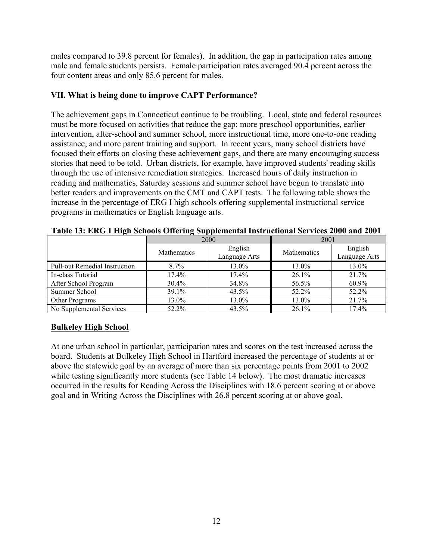males compared to 39.8 percent for females). In addition, the gap in participation rates among male and female students persists. Female participation rates averaged 90.4 percent across the four content areas and only 85.6 percent for males.

## **VII. What is being done to improve CAPT Performance?**

The achievement gaps in Connecticut continue to be troubling. Local, state and federal resources must be more focused on activities that reduce the gap: more preschool opportunities, earlier intervention, after-school and summer school, more instructional time, more one-to-one reading assistance, and more parent training and support. In recent years, many school districts have focused their efforts on closing these achievement gaps, and there are many encouraging success stories that need to be told. Urban districts, for example, have improved students' reading skills through the use of intensive remediation strategies. Increased hours of daily instruction in reading and mathematics, Saturday sessions and summer school have begun to translate into better readers and improvements on the CMT and CAPT tests. The following table shows the increase in the percentage of ERG I high schools offering supplemental instructional service programs in mathematics or English language arts.

|                                      |             | 2000                     | 2001               |                          |  |
|--------------------------------------|-------------|--------------------------|--------------------|--------------------------|--|
|                                      | Mathematics | English<br>Language Arts | <b>Mathematics</b> | English<br>Language Arts |  |
| <b>Pull-out Remedial Instruction</b> | $8.7\%$     | 13.0%                    | 13.0%              | 13.0%                    |  |
| In-class Tutorial                    | 17.4%       | 17.4%                    | 26.1%              | 21.7%                    |  |
| After School Program                 | 30.4%       | 34.8%                    | 56.5%              | 60.9%                    |  |
| Summer School                        | 39.1%       | 43.5%                    | 52.2%              | 52.2%                    |  |
| Other Programs                       | 13.0%       | 13.0%                    | 13.0%              | 21.7%                    |  |
| No Supplemental Services             | 52.2%       | 43.5%                    | 26.1%              | 17.4%                    |  |

**Table 13: ERG I High Schools Offering Supplemental Instructional Services 2000 and 2001** 

# **Bulkeley High School**

At one urban school in particular, participation rates and scores on the test increased across the board. Students at Bulkeley High School in Hartford increased the percentage of students at or above the statewide goal by an average of more than six percentage points from 2001 to 2002 while testing significantly more students (see Table 14 below). The most dramatic increases occurred in the results for Reading Across the Disciplines with 18.6 percent scoring at or above goal and in Writing Across the Disciplines with 26.8 percent scoring at or above goal.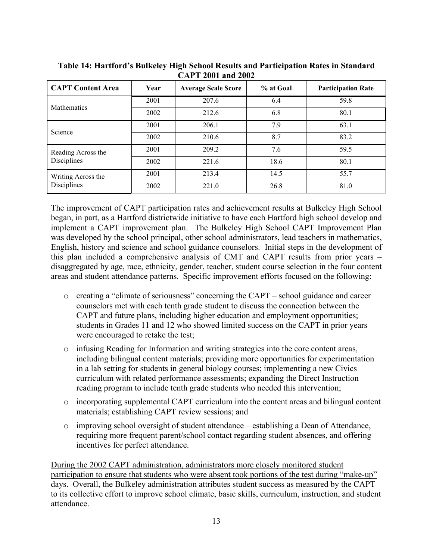| <b>CAPT Content Area</b>          | Year | <b>Average Scale Score</b> | % at Goal | <b>Participation Rate</b> |
|-----------------------------------|------|----------------------------|-----------|---------------------------|
|                                   | 2001 | 207.6                      | 6.4       | 59.8                      |
| Mathematics                       | 2002 | 212.6                      | 6.8       | 80.1                      |
|                                   | 2001 | 206.1                      | 7.9       | 63.1                      |
| Science                           | 2002 | 210.6                      | 8.7       | 83.2                      |
| Reading Across the                | 2001 | 209.2                      | 7.6       | 59.5                      |
| Disciplines                       | 2002 | 221.6                      | 18.6      | 80.1                      |
| Writing Across the<br>Disciplines | 2001 | 213.4                      | 14.5      | 55.7                      |
|                                   | 2002 | 221.0                      | 26.8      | 81.0                      |

**Table 14: Hartford's Bulkeley High School Results and Participation Rates in Standard CAPT 2001 and 2002** 

The improvement of CAPT participation rates and achievement results at Bulkeley High School began, in part, as a Hartford districtwide initiative to have each Hartford high school develop and implement a CAPT improvement plan. The Bulkeley High School CAPT Improvement Plan was developed by the school principal, other school administrators, lead teachers in mathematics, English, history and science and school guidance counselors. Initial steps in the development of this plan included a comprehensive analysis of CMT and CAPT results from prior years – disaggregated by age, race, ethnicity, gender, teacher, student course selection in the four content areas and student attendance patterns. Specific improvement efforts focused on the following:

- o creating a "climate of seriousness" concerning the CAPT school guidance and career counselors met with each tenth grade student to discuss the connection between the CAPT and future plans, including higher education and employment opportunities; students in Grades 11 and 12 who showed limited success on the CAPT in prior years were encouraged to retake the test;
- o infusing Reading for Information and writing strategies into the core content areas, including bilingual content materials; providing more opportunities for experimentation in a lab setting for students in general biology courses; implementing a new Civics curriculum with related performance assessments; expanding the Direct Instruction reading program to include tenth grade students who needed this intervention;
- o incorporating supplemental CAPT curriculum into the content areas and bilingual content materials; establishing CAPT review sessions; and
- $\circ$  improving school oversight of student attendance establishing a Dean of Attendance, requiring more frequent parent/school contact regarding student absences, and offering incentives for perfect attendance.

During the 2002 CAPT administration, administrators more closely monitored student participation to ensure that students who were absent took portions of the test during "make-up" days. Overall, the Bulkeley administration attributes student success as measured by the CAPT to its collective effort to improve school climate, basic skills, curriculum, instruction, and student attendance.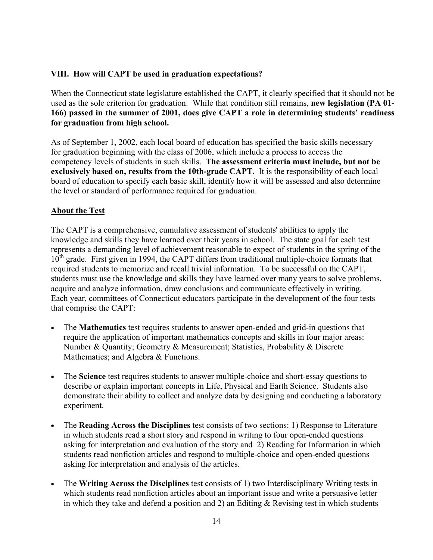# **VIII. How will CAPT be used in graduation expectations?**

When the Connecticut state legislature established the CAPT, it clearly specified that it should not be used as the sole criterion for graduation. While that condition still remains, **new legislation (PA 01- 166) passed in the summer of 2001, does give CAPT a role in determining students' readiness for graduation from high school.** 

As of September 1, 2002, each local board of education has specified the basic skills necessary for graduation beginning with the class of 2006, which include a process to access the competency levels of students in such skills. **The assessment criteria must include, but not be exclusively based on, results from the 10th-grade CAPT.** It is the responsibility of each local board of education to specify each basic skill, identify how it will be assessed and also determine the level or standard of performance required for graduation.

# **About the Test**

The CAPT is a comprehensive, cumulative assessment of students' abilities to apply the knowledge and skills they have learned over their years in school. The state goal for each test represents a demanding level of achievement reasonable to expect of students in the spring of the  $10<sup>th</sup>$  grade. First given in 1994, the CAPT differs from traditional multiple-choice formats that required students to memorize and recall trivial information. To be successful on the CAPT, students must use the knowledge and skills they have learned over many years to solve problems, acquire and analyze information, draw conclusions and communicate effectively in writing. Each year, committees of Connecticut educators participate in the development of the four tests that comprise the CAPT:

- The **Mathematics** test requires students to answer open-ended and grid-in questions that require the application of important mathematics concepts and skills in four major areas: Number & Quantity; Geometry & Measurement; Statistics, Probability & Discrete Mathematics; and Algebra & Functions.
- The **Science** test requires students to answer multiple-choice and short-essay questions to describe or explain important concepts in Life, Physical and Earth Science. Students also demonstrate their ability to collect and analyze data by designing and conducting a laboratory experiment.
- The **Reading Across the Disciplines** test consists of two sections: 1) Response to Literature in which students read a short story and respond in writing to four open-ended questions asking for interpretation and evaluation of the story and 2) Reading for Information in which students read nonfiction articles and respond to multiple-choice and open-ended questions asking for interpretation and analysis of the articles.
- The **Writing Across the Disciplines** test consists of 1) two Interdisciplinary Writing tests in which students read nonfiction articles about an important issue and write a persuasive letter in which they take and defend a position and 2) an Editing  $\&$  Revising test in which students